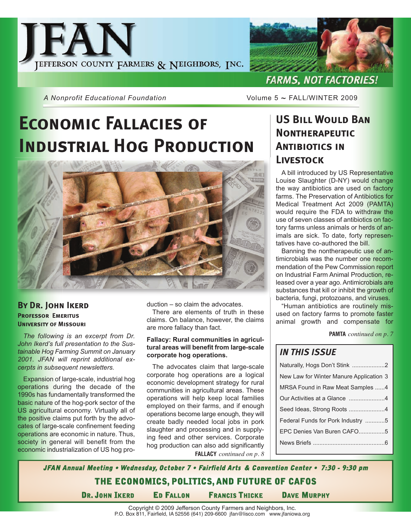



*A Nonprofit Educational Foundation* **Manufally Volume 5 ~ FALL/WINTER 2009** 

## **Economic Fallacies of Industrial Hog Production**



### **By Dr. John Ikerd Professor Emeritus University of Missouri**

*The following is an excerpt from Dr. John Ikerd's full presentation to the Sustainable Hog Farming Summit on January 2001. JFAN will reprint additional excerpts in subsequent newsletters.*

Expansion of large-scale, industrial hog operations during the decade of the 1990s has fundamentally transformed the basic nature of the hog-pork sector of the US agricultural economy. Virtually all of the positive claims put forth by the advocates of large-scale confinement feeding operations are economic in nature. Thus, society in general will benefit from the economic industrialization of US hog production – so claim the advocates.

There are elements of truth in these claims. On balance, however, the claims are more fallacy than fact.

#### **Fallacy: Rural communities in agricultural areas will benefit from large-scale corporate hog operations.**

The advocates claim that large-scale corporate hog operations are a logical economic development strategy for rural communities in agricultural areas. These operations will help keep local families employed on their farms, and if enough operations become large enough, they will create badly needed local jobs in pork slaughter and processing and in supplying feed and other services. Corporate hog production can also add significantly **FALLACY** *continued on p. 8*

### **US Bill Would Ban Nontherapeutic Antibiotics in Livestock**

A bill introduced by US Representative Louise Slaughter (D-NY) would change the way antibiotics are used on factory farms. The Preservation of Antibiotics for Medical Treatment Act 2009 (PAMTA) would require the FDA to withdraw the use of seven classes of antibiotics on factory farms unless animals or herds of animals are sick. To date, forty representatives have co-authored the bill.

Banning the nontherapeutic use of antimicrobials was the number one recommendation of the Pew Commission report on Industrial Farm Animal Production, released over a year ago. Antimicrobials are substances that kill or inhibit the growth of bacteria, fungi, protozoans, and viruses.

"Human antibiotics are routinely misused on factory farms to promote faster animal growth and compensate for

**PAMTA** *continued on p. 7*

### *IN THIS ISSUE*

| Naturally, Hogs Don't Stink 2           |
|-----------------------------------------|
| New Law for Winter Manure Application 3 |
| MRSA Found in Raw Meat Samples 4        |
|                                         |
| Seed Ideas, Strong Roots 4              |
| Federal Funds for Pork Industry 5       |
| EPC Denies Van Buren CAFO5              |
|                                         |
|                                         |

**MRSA** *continued on p. 8* **JFAN Annual Meeting • Wednesday, October 7 • Fairfield Arts & Convention Center • 7:30 - 9:30 pm THE ECONOMICS, POLITICS, AND FUTURE OF CAFOS DR. JOHN IKERD ED FALLON FRANCIS THICKE DAVE MURPHY**

Copyright © 2009 Jefferson County Farmers and Neighbors, Inc. P.O. Box 811, Fairfield, IA 52556 (641) 209-6600 jfan@lisco.com www.jfaniowa.org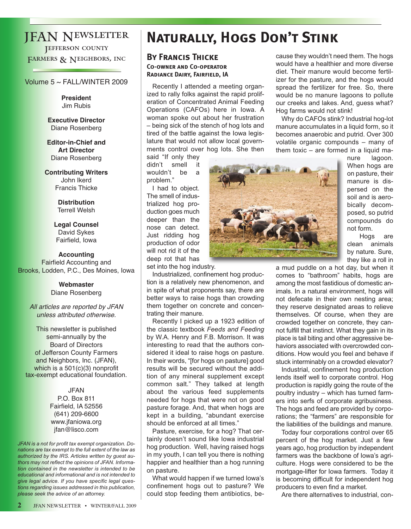### JFAN Newsletter **JEFFERSON COUNTY** FARMERS & NEIGHBORS, INC

#### Volume 5 ~ FALL/WINTER 2009

**President** Jim Rubis

**Executive Director** Diane Rosenberg

**Editor-in-Chief and Art Director** Diane Rosenberg

**Contributing Writers** John Ikerd Francis Thicke

> **Distribution** Terrell Welsh

**Legal Counsel** David Sykes Fairfield, Iowa

**Accounting** Fairfield Accounting and Brooks, Lodden, P.C., Des Moines, Iowa

> **Webmaster** Diane Rosenberg

All articles are reported by JFAN unless attributed otherwise.

This newsletter is published semi-annually by the Board of Directors of Jefferson County Farmers and Neighbors, Inc. (JFAN), which is a 501(c)(3) nonprofit tax-exempt educational foundation.

> JFAN P.O. Box 811 Fairfield, IA 52556 (641) 209-6600 www.jfaniowa.org jfan@lisco.com

*JFAN is a not for profit tax exempt organization. Donations are tax exempt to the full extent of the law as authorized by the IRS. Articles written by guest authors may not reflect the opinions of JFAN. Information contained in the newsletter is intended to be educational and informational and is not intended to give legal advice. If you have specific legal questions regarding issues addressed in this publication, please seek the advice of an attorney.*

## **Naturally, Hogs Don't Stink**

#### **By Francis Thicke Co-owner and Co-operator Radiance Dairy, Fairfield, IA**

Recently I attended a meeting organized to rally folks against the rapid proliferation of Concentrated Animal Feeding Operations (CAFOs) here in Iowa. A woman spoke out about her frustration – being sick of the stench of hog lots and tired of the battle against the Iowa legislature that would not allow local governments control over hog lots. She then

said "If only they didn't smell it wouldn't be a problem."

I had to object. The smell of industrialized hog production goes much deeper than the nose can detect. Just ridding hog production of odor will not rid it of the deep rot that has set into the hog industry.

Industrialized, confinement hog production is a relatively new phenomenon, and in spite of what proponents say, there are better ways to raise hogs than crowding them together on concrete and concentrating their manure.

Recently I picked up a 1923 edition of the classic textbook *Feeds and Feeding* by W.A. Henry and F.B. Morrison. It was interesting to read that the authors considered it ideal to raise hogs on pasture. In their words, "[for hogs on pasture] good results will be secured without the addition of any mineral supplement except common salt." They talked at length about the various feed supplements needed for hogs that were not on good pasture forage. And, that when hogs are kept in a building, "abundant exercise should be enforced at all times."

Pasture, exercise, for a hog? That certainly doesn't sound like Iowa industrial hog production. Well, having raised hogs in my youth, I can tell you there is nothing happier and healthier than a hog running on pasture.

What would happen if we turned Iowa's confinement hogs out to pasture? We could stop feeding them antibiotics, because they wouldn't need them. The hogs would have a healthier and more diverse diet. Their manure would become fertilizer for the pasture, and the hogs would spread the fertilizer for free. So, there would be no manure lagoons to pollute our creeks and lakes. And, guess what? Hog farms would not stink!

Why do CAFOs stink? Industrial hog-lot manure accumulates in a liquid form, so it becomes anaerobic and putrid. Over 300 volatile organic compounds – many of them toxic – are formed in a liquid ma-



nure lagoon. When hogs are on pasture, their manure is dispersed on the soil and is aerobically decomposed, so putrid compounds do not form.

Hogs are clean animals by nature. Sure, they like a roll in

a mud puddle on a hot day, but when it comes to "bathroom" habits, hogs are among the most fastidious of domestic animals. In a natural environment, hogs will not defecate in their own nesting area; they reserve designated areas to relieve themselves. Of course, when they are crowded together on concrete, they cannot fulfill that instinct. What they gain in its place is tail biting and other aggressive behaviors associated with overcrowded conditions. How would you feel and behave if stuck interminably on a crowded elevator?

Industrial, confinement hog production lends itself well to corporate control. Hog production is rapidly going the route of the poultry industry – which has turned farmers into serfs of corporate agribusiness. The hogs and feed are provided by corporations; the "farmers" are responsible for the liabilities of the buildings and manure.

Today four corporations control over 65 percent of the hog market. Just a few years ago, hog production by independent farmers was the backbone of Iowa's agriculture. Hogs were considered to be the mortgage-lifter for Iowa farmers. Today it is becoming difficult for independent hog producers to even find a market.

Are there alternatives to industrial, con-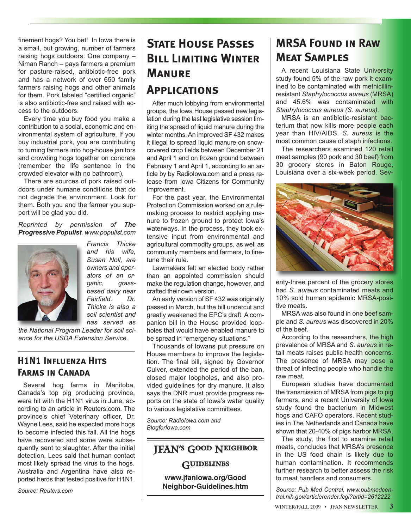finement hogs? You bet! In Iowa there is a small, but growing, number of farmers raising hogs outdoors. One company – Niman Ranch – pays farmers a premium for pasture-raised, antibiotic-free pork and has a network of over 650 family farmers raising hogs and other animals for them. Pork labeled "certified organic" is also antibiotic-free and raised with access to the outdoors.

Every time you buy food you make a contribution to a social, economic and environmental system of agriculture. If you buy industrial pork, you are contributing to turning farmers into hog-house janitors and crowding hogs together on concrete (remember the life sentence in the crowded elevator with no bathroom).

There are sources of pork raised outdoors under humane conditions that do not degrade the environment. Look for them. Both you and the farmer you support will be glad you did.

*Reprinted by permission of The Progressive Populist. www.populist.com*



*and his wife, Susan Noll, are owners and operators of an organic, grassbased dairy near Fairfield. Dr. Thicke is also a soil scientist and has served as*

*Francis Thicke*

*the National Program Leader for soil science for the USDA Extension Service.* 

### **H1N1 Influenza Hits Farms in Canada**

Several hog farms in Manitoba, Canada's top pig producing province, were hit with the H1N1 virus in June, according to an article in Reuters.com. The province's chief Veterinary officer, Dr. Wayne Lees, said he expected more hogs to become infected this fall. All the hogs have recovered and some were subsequently sent to slaughter. After the initial detection, Lees said that human contact most likely spread the virus to the hogs. Australia and Argentina have also reported herds that tested positive for H1N1.

*Source: Reuters.com*

### finement hogs? You bet! In lowa there is | **STATE HOUSE PASSES** | **MRSA FOUND IN RAW STATE HOUSE PASSES Bill Limiting Winter Manure Applications**

After much lobbying from environmental groups, the Iowa House passed new legislation during the last legislative session limiting the spread of liquid manure during the winter months. An improved SF 432 makes it illegal to spread liquid manure on snowcovered crop fields between December 21 and April 1 and on frozen ground between February 1 and April 1, according to an article by by RadioIowa.com and a press release from Iowa Citizens for Community Improvement.

For the past year, the Environmental Protection Commission worked on a rulemaking process to restrict applying manure to frozen ground to protect Iowa's waterways. In the process, they took extensive input from environmental and agricultural commodity groups, as well as community members and farmers, to finetune their rule.

Lawmakers felt an elected body rather than an appointed commission should make the regulation change, however, and crafted their own version.

An early version of SF 432 was originally passed in March, but the bill undercut and greatly weakened the EPC's draft. A companion bill in the House provided loopholes that would have enabled manure to be spread in "emergency situations."

Thousands of Iowans put pressure on House members to improve the legislation. The final bill, signed by Governor Culver, extended the period of the ban, closed major loopholes, and also provided guidelines for dry manure. It also says the DNR must provide progress reports on the state of Iowa's water quality to various legislative committees.

*Source: RadioIowa.com and BlogforIowa.com* 

### JFAN's Good Neighbor **GUIDELINES**

**www.jfaniowa.org/Good Neighbor-Guidelines.htm**

# **Meat Samples**

A recent Louisiana State University study found 5% of the raw pork it examined to be contaminated with methicillinresistant *Staphylococcus aureus* (MRSA) and 45.6% was contaminated with *Staphylococcus aureus (S. aureus).* 

MRSA is an antibiotic-resistant bacterium that now kills more people each year than HIV/AIDS. *S. aureus* is the most common cause of staph infections.

The researchers examined 120 retail meat samples (90 pork and 30 beef) from 30 grocery stores in Baton Rouge, Louisiana over a six-week period. Sev-



enty-three percent of the grocery stores had *S. aureus* contaminated meats and 10% sold human epidemic MRSA-positive meats.

MRSA was also found in one beef sample and *S. aureus* was discovered in 20% of the beef.

According to the researchers, the high prevalence of MRSA and *S. aureus* in retail meats raises public health concerns. The presence of MRSA may pose a threat of infecting people who handle the raw meat.

European studies have documented the transmission of MRSA from pigs to pig farmers, and a recent University of Iowa study found the bacterium in Midwest hogs and CAFO operators. Recent studies in The Netherlands and Canada have shown that 20-40% of pigs harbor MRSA.

The study, the first to examine retail meats, concludes that MRSA's presence in the US food chain is likely due to human contamination. It recommends further research to better assess the risk to meat handlers and consumers.

*Source: Pub Med Central, www.pubmedcentral.nih.gov/articlerender.fcgi?artid=2612222*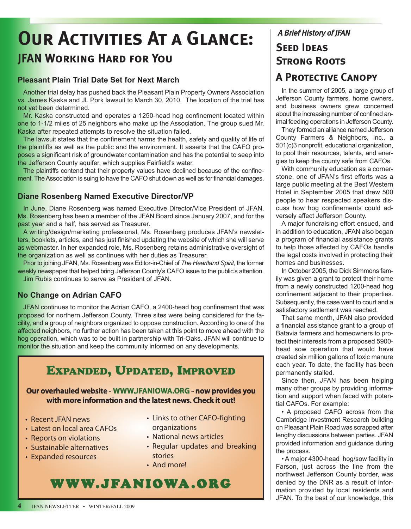## **Our Activities At a Glance: JFAN Working Hard for You**

### **Pleasant Plain Trial Date Set for Next March**

Another trial delay has pushed back the Pleasant Plain Property Owners Association *vs.* James Kaska and JL Pork lawsuit to March 30, 2010. The location of the trial has not yet been determined.

Mr. Kaska constructed and operates a 1250-head hog confinement located within one to 1-1/2 miles of 25 neighbors who make up the Association. The group sued Mr. Kaska after repeated attempts to resolve the situation failed.

The lawsuit states that the confinement harms the health, safety and quality of life of the plaintiffs as well as the public and the environment. It asserts that the CAFO proposes a significant risk of groundwater contamination and has the potential to seep into the Jefferson County aquifer, which supplies Fairfield's water.

The plaintiffs contend that their property values have declined because of the confinement. The Association is suing to have the CAFO shut down as well as for financial damages.

### **Diane Rosenberg Named Executive Director/VP**

In June, Diane Rosenberg was named Executive Director/Vice President of JFAN. Ms. Rosenberg has been a member of the JFAN Board since January 2007, and for the past year and a half, has served as Treasurer.

A writing/design/marketing professional, Ms. Rosenberg produces JFAN's newsletters, booklets, articles, and has just finished updating the website of which she will serve as webmaster. In her expanded role, Ms. Rosenberg retains administrative oversight of the organization as well as continues with her duties as Treasurer.

Prior to joining JFAN, Ms. Rosenberg was Editor-in-Chief of *The Heartland Spirit*, the former weekly newspaper that helped bring Jefferson County's CAFO issue to the public's attention. Jim Rubis continues to serve as President of JFAN.

### **No Change on Adrian CAFO**

JFAN continues to monitor the Adrian CAFO, a 2400-head hog confinement that was proposed for northern Jefferson County. Three sites were being considered for the facility, and a group of neighbors organized to oppose construction. According to one of the affected neighbors, no further action has been taken at this point to move ahead with the hog operation, which was to be built in partnership with Tri-Oaks. JFAN will continue to monitor the situation and keep the community informed on any developments.

### **EXPANDED, UPDATED, IMPROVED**

### **Our overhauled website - WWW.JFANIOWA.ORG - now provides you with more information and the latest news. Check it out!**

- Recent JFAN news
- Latest on local area CAFOs
- Reports on violations
- Sustainable alternatives
- Expanded resources
- Links to other CAFO-fighting organizations
- National news articles
- Regular updates and breaking stories
- And more!

### WWW.JFANIOWA .ORG

### A Brief History of JFAN **Seed Ideas Strong Roots A Protective Canopy**

In the summer of 2005, a large group of Jefferson County farmers, home owners, and business owners grew concerned about the increasing number of confined animal feeding operations in Jefferson County.

They formed an alliance named Jefferson County Farmers & Neighbors, Inc., a 501(c)3 nonprofit, educational organization, to pool their resources, talents, and energies to keep the county safe from CAFOs.

With community education as a cornerstone, one of JFAN's first efforts was a large public meeting at the Best Western Hotel in September 2005 that drew 500 people to hear respected speakers discuss how hog confinements could adversely affect Jefferson County.

A major fundraising effort ensued, and in addition to education, JFAN also began a program of financial assistance grants to help those affected by CAFOs handle the legal costs involved in protecting their homes and businesses.

In October 2005, the Dick Simmons family was given a grant to protect their home from a newly constructed 1200-head hog confinement adjacent to their properties. Subsequently, the case went to court and a satisfactory settlement was reached.

That same month, JFAN also provided a financial assistance grant to a group of Batavia farmers and homeowners to protect their interests from a proposed 5900 head sow operation that would have created six million gallons of toxic manure each year. To date, the facility has been permanently stalled.

Since then, JFAN has been helping many other groups by providing information and support when faced with potential CAFOs. For example:

• A proposed CAFO across from the Cambridge Investment Research building on Pleasant Plain Road was scrapped after lengthy discussions between parties. JFAN provided information and guidance during the process.

• A major 4300-head hog/sow facility in Farson, just across the line from the northwest Jefferson County border, was denied by the DNR as a result of information provided by local residents and JFAN. To the best of our knowledge, this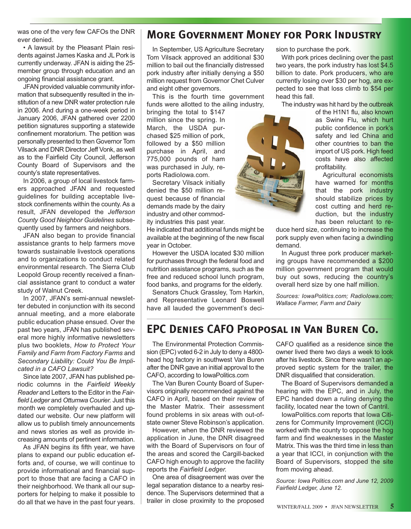was one of the very few CAFOs the DNR ever denied.

• A lawsuit by the Pleasant Plain residents against James Kaska and JL Pork is currently underway. JFAN is aiding the 25 member group through education and an ongoing financial assistance grant.

JFAN provided valuable community information that subsequently resulted in the institution of a new DNR water protection rule in 2006. And during a one-week period in January 2006, JFAN gathered over 2200 petition signatures supporting a statewide confinement moratorium. The petition was personally presented to then Governor Tom Vilsack and DNR Director Jeff Vonk, as well as to the Fairfield City Council, Jefferson County Board of Supervisors and the county's state representatives.

In 2006, a group of local livestock farmers approached JFAN and requested guidelines for building acceptable livestock confinements within the county. As a result, JFAN developed the *Jefferson County Good Neighbor Guidelines* subsequently used by farmers and neighbors.

JFAN also began to provide financial assistance grants to help farmers move towards sustainable livestock operations and to organizations to conduct related environmental research. The Sierra Club Leopold Group recently received a financial assistance grant to conduct a water study of Walnut Creek.

In 2007, JFAN's semi-annual newsletter debuted in conjunction with its second annual meeting, and a more elaborate public education phase ensued. Over the past two years, JFAN has published several more highly informative newsletters plus two booklets, *How to Protect Your Family and Farm from Factory Farms* and *Secondary Liability: Could You Be Implicated in a CAFO Lawsuit?*

Since late 2007, JFAN has published periodic columns in the *Fairfield Weekly Reader* and Letters to the Editor in the *Fairfield Ledger* and *Ottumwa Courier.* Just this month we completely overhauled and updated our website. Our new platform will allow us to publish timely announcements and news stories as well as provide increasing amounts of pertinent information.

As JFAN begins its fifth year, we have plans to expand our public education efforts and, of course, we will continue to provide informational and financial support to those that are facing a CAFO in their neighborhood. We thank all our supporters for helping to make it possible to do all that we have in the past four years.

### **More Government Money for Pork Industry**

In September, US Agriculture Secretary Tom Vilsack approved an additional \$30 million to bail out the financially distressed pork industry after initially denying a \$50 million request from Governor Chet Culver and eight other governors.

This is the fourth time government funds were allotted to the ailing industry,

bringing the total to \$147 million since the spring. In March, the USDA purchased \$25 million of pork, followed by a \$50 million purchase in April, and 775,000 pounds of ham was purchased in July, reports RadioIowa.com.

Secretary Vilsack initially denied the \$50 million request because of financial demands made by the dairy industry and other commodity industries this past year.

He indicated that additional funds might be available at the beginning of the new fiscal year in October.

However the USDA located \$30 million for purchases through the federal food and nutrition assistance programs, such as the free and reduced school lunch program, food banks, and programs for the elderly.

Senators Chuck Grassley, Tom Harkin, and Representative Leonard Boswell have all lauded the government's decision to purchase the pork.

With pork prices declining over the past two years, the pork industry has lost \$4.5 billion to date. Pork producers, who are currently losing over \$30 per hog, are expected to see that loss climb to \$54 per head this fall.

The industry was hit hard by the outbreak

of the H1N1 flu, also known as Swine Flu, which hurt public confidence in pork's safety and led China and other countries to ban the import of US pork. High feed costs have also affected profitability.

Agricultural economists have warned for months that the pork industry should stabilize prices by cost cutting and herd reduction, but the industry has been reluctant to re-

duce herd size, continuing to increase the pork supply even when facing a dwindling demand.

In August three pork producer marketing groups have recommended a \$200 million government program that would buy out sows, reducing the country's overall herd size by one half million.

*Sources: IowaPolitics.com; RadioIowa.com; Wallace Farmer, Farm and Dairy*

### **EPC Denies CAFO Proposal in Van Buren Co.**

The Environmental Protection Commission (EPC) voted 6-2 in July to deny a 4800 head hog factory in southwest Van Buren after the DNR gave an initial approval to the CAFO, according to IowaPolitics.com

The Van Buren County Board of Supervisors originally recommended against the CAFO in April, based on their review of the Master Matrix. Their assessment found problems in six areas with out-ofstate owner Steve Robinson's application.

However, when the DNR reviewed the application in June, the DNR disagreed with the Board of Supervisors on four of the areas and scored the Cargill-backed CAFO high enough to approve the facility reports the *Fairfield Ledger.*

One area of disagreement was over the legal separation distance to a nearby residence. The Supervisors determined that a trailer in close proximity to the proposed CAFO qualified as a residence since the owner lived there two days a week to look after his livestock. Since there wasn't an approved septic system for the trailer, the DNR disqualified that consideration.

The Board of Supervisors demanded a hearing with the EPC, and in July, the EPC handed down a ruling denying the facility, located near the town of Cantril.

IowaPolitics.com reports that Iowa Citizens for Community Improvement (ICCI) worked with the county to oppose the hog farm and find weaknesses in the Master Matrix. This was the third time in less than a year that ICCI, in conjunction with the Board of Supervisors, stopped the site from moving ahead.

*Source: Iowa Politics.com and June 12, 2009 Fairfield Ledger, June 12.*

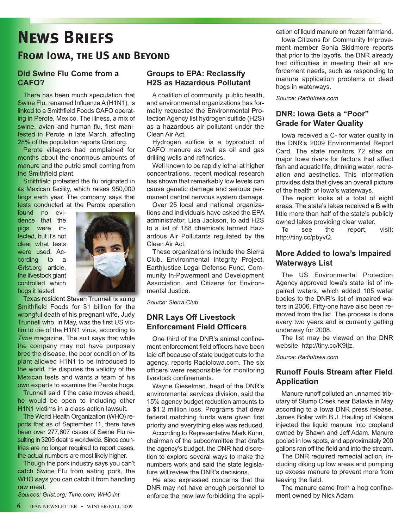## **News Briefs**

### **From Iowa, the US and Beyond**

### **Did Swine Flu Come from a CAFO?**

There has been much speculation that Swine Flu, renamed Influenza A (H1N1), is linked to a Smithfield Foods CAFO operating in Perote, Mexico. The illness, a mix of swine, avian and human flu, first manifested in Perote in late March, affecting 28% of the population reports Grist.org.

Perote villagers had complained for months about the enormous amounts of manure and the putrid smell coming from the Smithfield plant.

Smithfield protested the flu originated in its Mexican facility, which raises 950,000 hogs each year. The company says that tests conducted at the Perote operation

found no evidence that the pigs were infected, but it's not clear what tests were used. According to a Grist.org article, the livestock giant controlled which hogs it tested.



Texas resident Steven Trunnell is suing Smithfield Foods for \$1 billion for the wrongful death of his pregnant wife, Judy Trunnell who, in May, was the first US victim to die of the H1N1 virus, according to *Time* magazine. The suit says that while the company may not have purposely bred the disease, the poor condition of its plant allowed H1N1 to be introduced to the world. He disputes the validity of the Mexican tests and wants a team of his own experts to examine the Perote hogs.

Trunnell said if the case moves ahead, he would be open to including other H1N1 victims in a class action lawsuit.

The World Health Organization (WHO) reports that as of September 11, there have been over 277,607 cases of Swine Flu resulting in 3205 deaths worldwide. Since countries are no longer required to report cases, the actual numbers are most likely higher.

Though the pork industry says you can't catch Swine Flu from eating pork, the WHO says you can catch it from handling raw meat.

*Sources: Grist.org; Time.com; WHO.int*

#### **Groups to EPA: Reclassify H2S as Hazardous Pollutant**

A coalition of community, public health, and environmental organizations has formally requested the Environmental Protection Agency list hydrogen sulfide (H2S) as a hazardous air pollutant under the Clean Air Act.

Hydrogen sulfide is a byproduct of CAFO manure as well as oil and gas drilling wells and refineries.

Well known to be rapidly lethal at higher concentrations, recent medical research has shown that remarkably low levels can cause genetic damage and serious permanent central nervous system damage.

Over 25 local and national organizations and individuals have asked the EPA administrator, Lisa Jackson, to add H2S to a list of 188 chemicals termed Hazardous Air Pollutants regulated by the Clean Air Act.

These organizations include the Sierra Club, Environmental Integrity Project, Earthjustice Legal Defense Fund, Community In-Powerment and Development Association, and Citizens for Environmental Justice.

*Source: Sierra Club*

#### **DNR Lays Off Livestock Enforcement Field Officers**

One third of the DNR's animal confinement enforcement field officers have been laid off because of state budget cuts to the agency, reports RadioIowa.com. The six officers were responsible for monitoring livestock confinements.

Wayne Gieselman, head of the DNR's environmental services division, said the 15% agency budget reduction amounts to a \$1.2 million loss. Programs that drew federal matching funds were given first priority and everything else was reduced.

According to Representative Mark Kuhn, chairman of the subcommittee that drafts the agency's budget, the DNR had discretion to explore several ways to make the numbers work and said the state legislature will review the DNR's decisions.

He also expressed concerns that the DNR may not have enough personnel to enforce the new law forbidding the application of liquid manure on frozen farmland.

Iowa Citizens for Community Improvement member Sonia Skidmore reports that prior to the layoffs, the DNR already had difficulties in meeting their all enforcement needs, such as responding to manure application problems or dead hogs in waterways.

*Source: RadioIowa.com* 

### **DNR: Iowa Gets a "Poor" Grade for Water Quality**

Iowa received a C- for water quality in the DNR's 2009 Environmental Report Card. The state monitors 72 sites on major Iowa rivers for factors that affect fish and aquatic life, drinking water, recreation and aesthetics. This information provides data that gives an overall picture of the health of Iowa's waterways.

The report looks at a total of eight areas. The state's lakes received a B with little more than half of the state's publicly owned lakes providing clear water.

To see the report, visit: http://tiny.cc/pbyvQ.

### **More Added to Iowa's Impaired Waterways List**

The US Environmental Protection Agency approved Iowa's state list of impaired waters, which added 105 water bodies to the DNR's list of impaired waters in 2006. Fifty-one have also been removed from the list. The process is done every two years and is currently getting underway for 2008.

The list may be viewed on the DNR website http://tiny.cc/K9tjz.

*Source: RadioIowa.com* 

### **Runoff Fouls Stream after Field Application**

Manure runoff polluted an unnamed tributary of Stump Creek near Batavia in May according to a Iowa DNR press release. James Boller with B.J. Hauling of Kalona injected the liquid manure into cropland owned by Shawn and Jeff Adam. Manure pooled in low spots, and approximately 200 gallons ran off the field and into the stream.

The DNR required remedial action, including diking up low areas and pumping up excess manure to prevent more from leaving the field.

The manure came from a hog confinement owned by Nick Adam.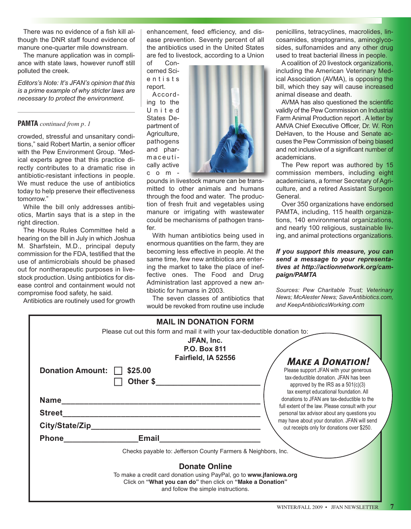There was no evidence of a fish kill although the DNR staff found evidence of manure one-quarter mile downstream.

The manure application was in compliance with state laws, however runoff still polluted the creek.

*Editors's Note: It's JFAN's opinion that this is a prime example of why stricter laws are necessary to protect the environment.* 

#### **PAMTA** *continued from p. 1*

crowded, stressful and unsanitary conditions," said Robert Martin, a senior officer with the Pew Environment Group. "Medical experts agree that this practice directly contributes to a dramatic rise in antibiotic-resistant infections in people. We must reduce the use of antibiotics today to help preserve their effectiveness tomorrow."

While the bill only addresses antibiotics, Martin says that is a step in the right direction.

The House Rules Committee held a hearing on the bill in July in which Joshua M. Sharfstein, M.D., principal deputy commission for the FDA, testified that the use of antimicrobials should be phased out for nontherapeutic purposes in livestock production. Using antibiotics for disease control and containment would not compromise food safety, he said.

Antibiotics are routinely used for growth

enhancement, feed efficiency, and disease prevention. Seventy percent of all the antibiotics used in the United States are fed to livestock, according to a Union

of Concerned Scie n t i s t s report. According to the U n i t e d States Department of Agriculture, pathogens and pharmaceutically active c o m -



pounds in livestock manure can be transmitted to other animals and humans through the food and water. The production of fresh fruit and vegetables using manure or irrigating with wastewater could be mechanisms of pathogen transfer.

With human antibiotics being used in enormous quantities on the farm, they are becoming less effective in people. At the same time, few new antibiotics are entering the market to take the place of ineffective ones. The Food and Drug Administration last approved a new antibiotic for humans in 2003.

The seven classes of antibiotics that would be revoked from routine use include

penicillins, tetracyclines, macrolides, lincosamides, streptogramins, aminoglycosides, sulfonamides and any other drug used to treat bacterial illness in people.

A coalition of 20 livestock organizations, including the American Veterinary Medical Association (AVMA), is opposing the bill, which they say will cause increased animal disease and death.

AVMA has also questioned the scientific validly of the Pew Commission on Industrial Farm Animal Production report . A letter by AMVA Chief Executive Officer, Dr. W. Ron DeHaven, to the House and Senate accuses the Pew Commission of being biased and not inclusive of a significant number of academicians.

The Pew report was authored by 15 commission members, including eight academicians, a former Secretary of Agriculture, and a retired Assistant Surgeon General.

Over 350 organizations have endorsed PAMTA, including, 115 health organizations, 140 environmental organizations, and nearly 100 religious, sustainable living, and animal protections organizations.

#### *If you support this measure, you can send a message to your representatives at http://actionnetwork.org/campaign/PAMTA*

*Sources: Pew Charitable Trust; Veterinary News; McAlester News; SaveAntibiotics.com, and KeepAntibioticsWorking.com*

| <b>MAIL IN DONATION FORM</b>                                                                                                                                             |                                                                                                                                                                                                                                           |  |
|--------------------------------------------------------------------------------------------------------------------------------------------------------------------------|-------------------------------------------------------------------------------------------------------------------------------------------------------------------------------------------------------------------------------------------|--|
|                                                                                                                                                                          | Please cut out this form and mail it with your tax-deductible donation to:<br>JFAN, Inc.<br><b>P.O. Box 811</b>                                                                                                                           |  |
| <b>Donation Amount:</b><br>\$25.00<br>Other \$                                                                                                                           | Fairfield, IA 52556<br><b>MAKE A DONATION!</b><br>Please support JFAN with your generous<br>tax-deductible donation. JFAN has been<br>approved by the IRS as a $501(c)(3)$                                                                |  |
| <b>Name</b><br><b>Street</b>                                                                                                                                             | tax exempt educational foundation. All<br>donations to JFAN are tax-deductible to the<br>full extent of the law. Please consult with your<br>personal tax advisor about any questions you<br>may have about your donation. JFAN will send |  |
| City/State/Zip_                                                                                                                                                          | out receipts only for donations over \$250.                                                                                                                                                                                               |  |
| <b>Phone</b><br>Email                                                                                                                                                    |                                                                                                                                                                                                                                           |  |
|                                                                                                                                                                          | Checks payable to: Jefferson County Farmers & Neighbors, Inc.                                                                                                                                                                             |  |
| <b>Donate Online</b>                                                                                                                                                     |                                                                                                                                                                                                                                           |  |
| To make a credit card donation using PayPal, go to www.jfaniowa.org<br>Click on "What you can do" then click on "Make a Donation"<br>and follow the simple instructions. |                                                                                                                                                                                                                                           |  |